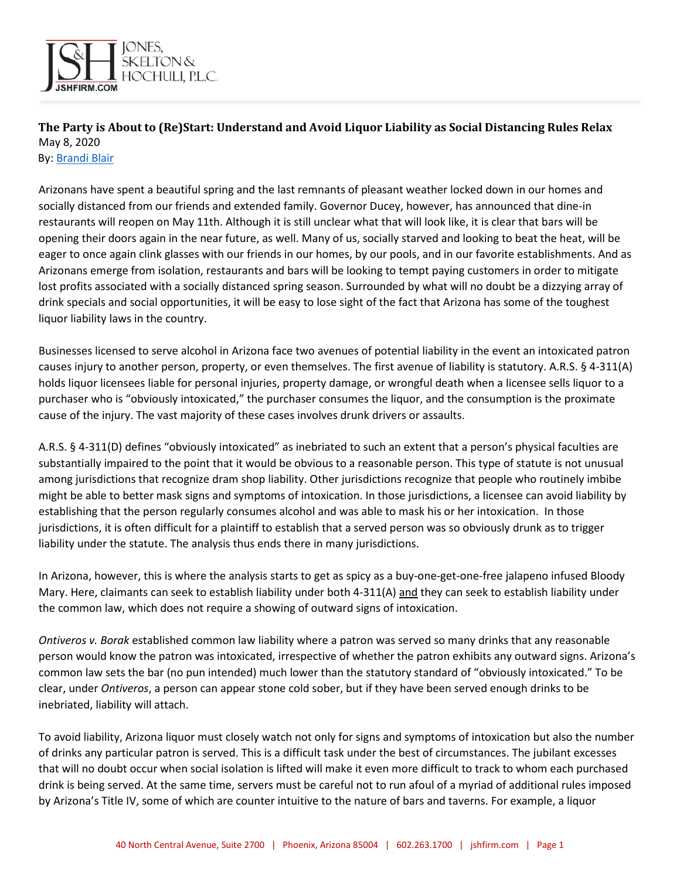

## **The Party is About to (Re)Start: Understand and Avoid Liquor Liability as Social Distancing Rules Relax** May 8, 2020

By[: Brandi Blair](http://www.jshfirm.com/bblair)

Arizonans have spent a beautiful spring and the last remnants of pleasant weather locked down in our homes and socially distanced from our friends and extended family. Governor Ducey, however, has announced that dine-in restaurants will reopen on May 11th. Although it is still unclear what that will look like, it is clear that bars will be opening their doors again in the near future, as well. Many of us, socially starved and looking to beat the heat, will be eager to once again clink glasses with our friends in our homes, by our pools, and in our favorite establishments. And as Arizonans emerge from isolation, restaurants and bars will be looking to tempt paying customers in order to mitigate lost profits associated with a socially distanced spring season. Surrounded by what will no doubt be a dizzying array of drink specials and social opportunities, it will be easy to lose sight of the fact that Arizona has some of the toughest liquor liability laws in the country.

Businesses licensed to serve alcohol in Arizona face two avenues of potential liability in the event an intoxicated patron causes injury to another person, property, or even themselves. The first avenue of liability is statutory. A.R.S. § 4-311(A) holds liquor licensees liable for personal injuries, property damage, or wrongful death when a licensee sells liquor to a purchaser who is "obviously intoxicated," the purchaser consumes the liquor, and the consumption is the proximate cause of the injury. The vast majority of these cases involves drunk drivers or assaults.

A.R.S. § 4-311(D) defines "obviously intoxicated" as inebriated to such an extent that a person's physical faculties are substantially impaired to the point that it would be obvious to a reasonable person. This type of statute is not unusual among jurisdictions that recognize dram shop liability. Other jurisdictions recognize that people who routinely imbibe might be able to better mask signs and symptoms of intoxication. In those jurisdictions, a licensee can avoid liability by establishing that the person regularly consumes alcohol and was able to mask his or her intoxication. In those jurisdictions, it is often difficult for a plaintiff to establish that a served person was so obviously drunk as to trigger liability under the statute. The analysis thus ends there in many jurisdictions.

In Arizona, however, this is where the analysis starts to get as spicy as a buy-one-get-one-free jalapeno infused Bloody Mary. Here, claimants can seek to establish liability under both 4-311(A) and they can seek to establish liability under the common law, which does not require a showing of outward signs of intoxication.

*Ontiveros v. Borak* established common law liability where a patron was served so many drinks that any reasonable person would know the patron was intoxicated, irrespective of whether the patron exhibits any outward signs. Arizona's common law sets the bar (no pun intended) much lower than the statutory standard of "obviously intoxicated." To be clear, under *Ontiveros*, a person can appear stone cold sober, but if they have been served enough drinks to be inebriated, liability will attach.

To avoid liability, Arizona liquor must closely watch not only for signs and symptoms of intoxication but also the number of drinks any particular patron is served. This is a difficult task under the best of circumstances. The jubilant excesses that will no doubt occur when social isolation is lifted will make it even more difficult to track to whom each purchased drink is being served. At the same time, servers must be careful not to run afoul of a myriad of additional rules imposed by Arizona's Title IV, some of which are counter intuitive to the nature of bars and taverns. For example, a liquor